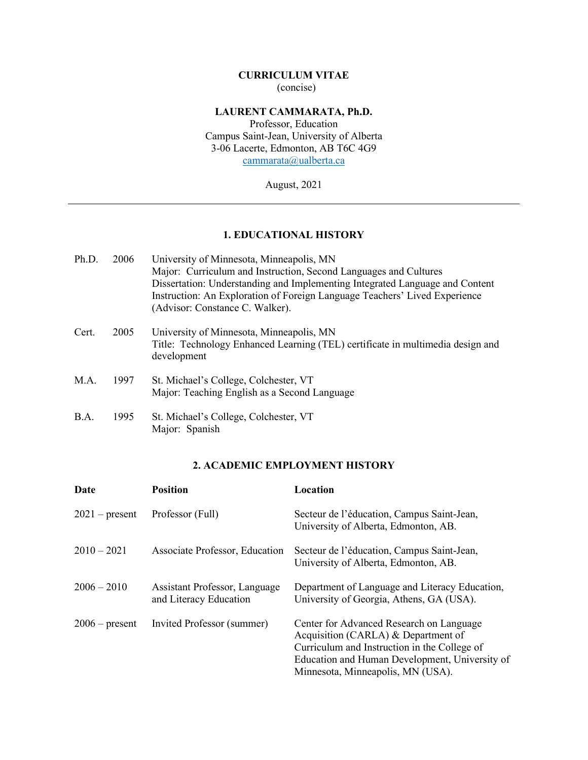# **CURRICULUM VITAE** (concise)

# **LAURENT CAMMARATA, Ph.D.**

Professor, Education Campus Saint-Jean, University of Alberta 3-06 Lacerte, Edmonton, AB T6C 4G9 [cammarata@ualberta.ca](mailto:cammarata@ualberta.ca)

August, 2021

# **1. EDUCATIONAL HISTORY**

| Ph.D. | 2006 | University of Minnesota, Minneapolis, MN                                       |
|-------|------|--------------------------------------------------------------------------------|
|       |      | Major: Curriculum and Instruction, Second Languages and Cultures               |
|       |      | Dissertation: Understanding and Implementing Integrated Language and Content   |
|       |      | Instruction: An Exploration of Foreign Language Teachers' Lived Experience     |
|       |      | (Advisor: Constance C. Walker).                                                |
| Cert. | 2005 | University of Minnesota, Minneapolis, MN                                       |
|       |      | Title: Technology Enhanced Learning (TEL) certificate in multimedia design and |
|       |      | development                                                                    |
| M.A.  | 1997 | St. Michael's College, Colchester, VT                                          |
|       |      | Major: Teaching English as a Second Language                                   |
| B.A.  | 1995 | St. Michael's College, Colchester, VT                                          |
|       |      | Major: Spanish                                                                 |

# **2. ACADEMIC EMPLOYMENT HISTORY**

| Date             | <b>Position</b>                                         | Location                                                                                                                                                                                                               |
|------------------|---------------------------------------------------------|------------------------------------------------------------------------------------------------------------------------------------------------------------------------------------------------------------------------|
| $2021$ – present | Professor (Full)                                        | Secteur de l'éducation, Campus Saint-Jean,<br>University of Alberta, Edmonton, AB.                                                                                                                                     |
| $2010 - 2021$    | Associate Professor, Education                          | Secteur de l'éducation, Campus Saint-Jean,<br>University of Alberta, Edmonton, AB.                                                                                                                                     |
| $2006 - 2010$    | Assistant Professor, Language<br>and Literacy Education | Department of Language and Literacy Education,<br>University of Georgia, Athens, GA (USA).                                                                                                                             |
| $2006$ – present | Invited Professor (summer)                              | Center for Advanced Research on Language<br>Acquisition (CARLA) & Department of<br>Curriculum and Instruction in the College of<br>Education and Human Development, University of<br>Minnesota, Minneapolis, MN (USA). |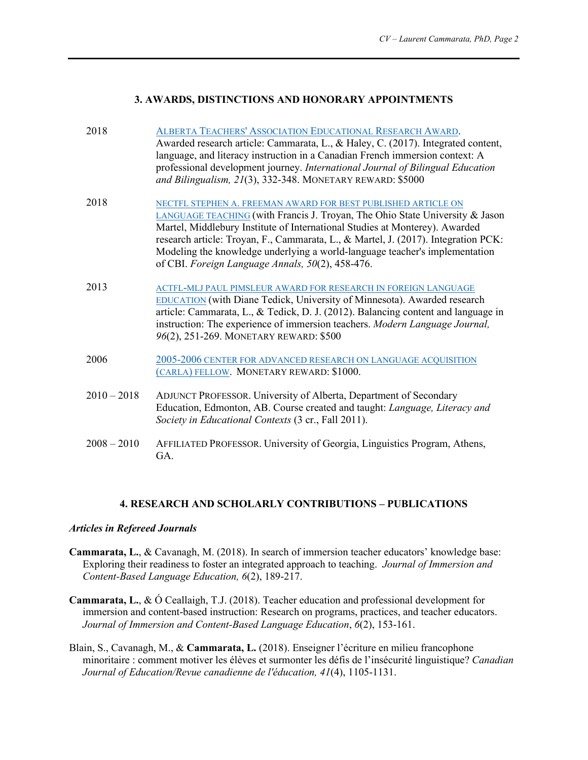#### **3. AWARDS, DISTINCTIONS AND HONORARY APPOINTMENTS**

| 2018          | ALBERTA TEACHERS' ASSOCIATION EDUCATIONAL RESEARCH AWARD.<br>Awarded research article: Cammarata, L., & Haley, C. (2017). Integrated content,<br>language, and literacy instruction in a Canadian French immersion context: A<br>professional development journey. International Journal of Bilingual Education<br>and Bilingualism, 21(3), 332-348. MONETARY REWARD: \$5000                                                                          |
|---------------|-------------------------------------------------------------------------------------------------------------------------------------------------------------------------------------------------------------------------------------------------------------------------------------------------------------------------------------------------------------------------------------------------------------------------------------------------------|
| 2018          | NECTFL STEPHEN A. FREEMAN AWARD FOR BEST PUBLISHED ARTICLE ON<br>LANGUAGE TEACHING (with Francis J. Troyan, The Ohio State University & Jason<br>Martel, Middlebury Institute of International Studies at Monterey). Awarded<br>research article: Troyan, F., Cammarata, L., & Martel, J. (2017). Integration PCK:<br>Modeling the knowledge underlying a world-language teacher's implementation<br>of CBI. Foreign Language Annals, 50(2), 458-476. |
| 2013          | ACTFL-MLJ PAUL PIMSLEUR AWARD FOR RESEARCH IN FOREIGN LANGUAGE<br><b>EDUCATION</b> (with Diane Tedick, University of Minnesota). Awarded research<br>article: Cammarata, L., & Tedick, D. J. (2012). Balancing content and language in<br>instruction: The experience of immersion teachers. Modern Language Journal,<br>96(2), 251-269. MONETARY REWARD: \$500                                                                                       |
| 2006          | 2005-2006 CENTER FOR ADVANCED RESEARCH ON LANGUAGE ACQUISITION<br>(CARLA) FELLOW. MONETARY REWARD: \$1000.                                                                                                                                                                                                                                                                                                                                            |
| $2010 - 2018$ | ADJUNCT PROFESSOR. University of Alberta, Department of Secondary<br>Education, Edmonton, AB. Course created and taught: Language, Literacy and<br>Society in Educational Contexts (3 cr., Fall 2011).                                                                                                                                                                                                                                                |
| $2008 - 2010$ | AFFILIATED PROFESSOR. University of Georgia, Linguistics Program, Athens,<br>GA.                                                                                                                                                                                                                                                                                                                                                                      |

#### **4. RESEARCH AND SCHOLARLY CONTRIBUTIONS – PUBLICATIONS**

#### *Articles in Refereed Journals*

- **Cammarata, L.**, & Cavanagh, M. (2018). In search of immersion teacher educators' knowledge base: Exploring their readiness to foster an integrated approach to teaching. *Journal of Immersion and Content-Based Language Education, 6*(2), 189-217.
- **Cammarata, L.**, & Ó Ceallaigh, T.J. (2018). Teacher education and professional development for immersion and content-based instruction: Research on programs, practices, and teacher educators. *Journal of Immersion and Content-Based Language Education*, *6*(2), 153-161.
- Blain, S., Cavanagh, M., & **Cammarata, L.** (2018). Enseigner l'écriture en milieu francophone minoritaire : comment motiver les élèves et surmonter les défis de l'insécurité linguistique? *Canadian Journal of Education/Revue canadienne de l'éducation, 41*(4), 1105-1131.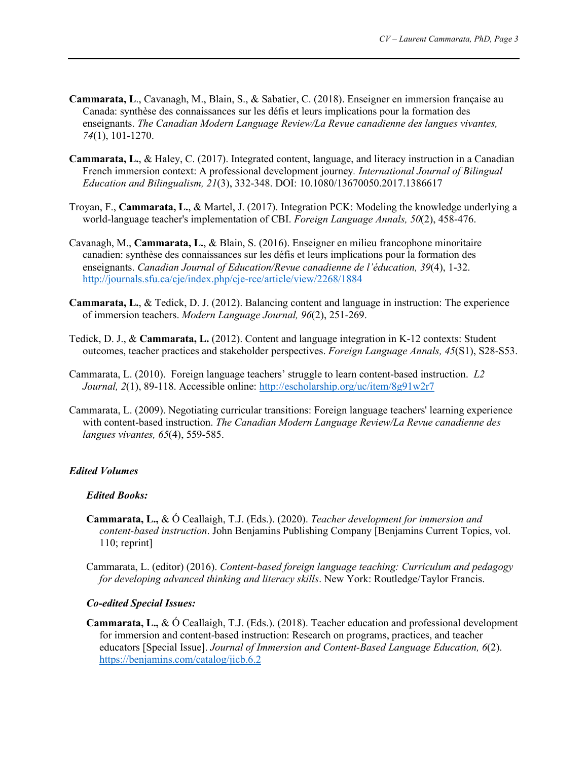- **Cammarata, L**., Cavanagh, M., Blain, S., & Sabatier, C. (2018). Enseigner en immersion française au Canada: synthèse des connaissances sur les défis et leurs implications pour la formation des enseignants. *The Canadian Modern Language Review/La Revue canadienne des langues vivantes, 74*(1), 101-1270.
- **Cammarata, L.**, & Haley, C. (2017). Integrated content, language, and literacy instruction in a Canadian French immersion context: A professional development journey*. International Journal of Bilingual Education and Bilingualism, 21*(3), 332-348. DOI: 10.1080/13670050.2017.1386617
- Troyan, F., **Cammarata, L.**, & Martel, J. (2017). Integration PCK: Modeling the knowledge underlying a world-language teacher's implementation of CBI. *Foreign Language Annals, 50*(2), 458-476.
- Cavanagh, M., **Cammarata, L.**, & Blain, S. (2016). Enseigner en milieu francophone minoritaire canadien: synthèse des connaissances sur les défis et leurs implications pour la formation des enseignants. *Canadian Journal of Education/Revue canadienne de l'éducation, 39*(4), 1-32. <http://journals.sfu.ca/cje/index.php/cje-rce/article/view/2268/1884>
- **Cammarata, L.**, & Tedick, D. J. (2012). Balancing content and language in instruction: The experience of immersion teachers. *Modern Language Journal, 96*(2), 251-269.
- Tedick, D. J., & **Cammarata, L.** (2012). Content and language integration in K-12 contexts: Student outcomes, teacher practices and stakeholder perspectives. *Foreign Language Annals, 45*(S1), S28-S53.
- Cammarata, L. (2010). Foreign language teachers' struggle to learn content-based instruction. *L2 Journal, 2*(1), 89-118. Accessible online:<http://escholarship.org/uc/item/8g91w2r7>
- Cammarata, L. (2009). Negotiating curricular transitions: Foreign language teachers' learning experience with content-based instruction. *The Canadian Modern Language Review/La Revue canadienne des langues vivantes, 65*(4), 559-585.

# *Edited Volumes*

#### *Edited Books:*

- **Cammarata, L.,** & Ó Ceallaigh, T.J. (Eds.). (2020). *Teacher development for immersion and content-based instruction*. John Benjamins Publishing Company [Benjamins Current Topics, vol. 110; reprint]
- Cammarata, L. (editor) (2016). *Content-based foreign language teaching: Curriculum and pedagogy for developing advanced thinking and literacy skills*. New York: Routledge/Taylor Francis.

#### *Co-edited Special Issues:*

**Cammarata, L.,** & Ó Ceallaigh, T.J. (Eds.). (2018). Teacher education and professional development for immersion and content-based instruction: Research on programs, practices, and teacher educators [Special Issue]. *Journal of Immersion and Content-Based Language Education, 6*(2). <https://benjamins.com/catalog/jicb.6.2>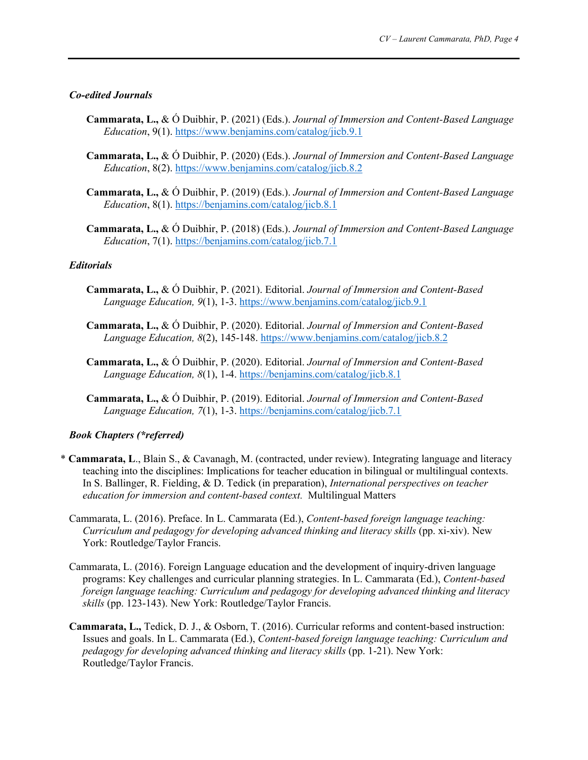#### *Co-edited Journals*

- **Cammarata, L.,** & Ó Duibhir, P. (2021) (Eds.). *Journal of Immersion and Content-Based Language Education*, 9(1).<https://www.benjamins.com/catalog/jicb.9.1>
- **Cammarata, L.,** & Ó Duibhir, P. (2020) (Eds.). *Journal of Immersion and Content-Based Language Education*, 8(2).<https://www.benjamins.com/catalog/jicb.8.2>
- **Cammarata, L.,** & Ó Duibhir, P. (2019) (Eds.). *Journal of Immersion and Content-Based Language Education*, 8(1).<https://benjamins.com/catalog/jicb.8.1>
- **Cammarata, L.,** & Ó Duibhir, P. (2018) (Eds.). *Journal of Immersion and Content-Based Language Education*, 7(1).<https://benjamins.com/catalog/jicb.7.1>

#### *Editorials*

- **Cammarata, L.,** & Ó Duibhir, P. (2021). Editorial. *Journal of Immersion and Content-Based Language Education, 9*(1), 1-3.<https://www.benjamins.com/catalog/jicb.9.1>
- **Cammarata, L.,** & Ó Duibhir, P. (2020). Editorial. *Journal of Immersion and Content-Based Language Education, 8*(2), 145-148.<https://www.benjamins.com/catalog/jicb.8.2>
- **Cammarata, L.,** & Ó Duibhir, P. (2020). Editorial. *Journal of Immersion and Content-Based Language Education, 8*(1), 1-4.<https://benjamins.com/catalog/jicb.8.1>
- **Cammarata, L.,** & Ó Duibhir, P. (2019). Editorial. *Journal of Immersion and Content-Based Language Education, 7*(1), 1-3.<https://benjamins.com/catalog/jicb.7.1>

# *Book Chapters (\*referred)*

- \* **Cammarata, L**., Blain S., & Cavanagh, M. (contracted, under review). Integrating language and literacy teaching into the disciplines: Implications for teacher education in bilingual or multilingual contexts. In S. Ballinger, R. Fielding, & D. Tedick (in preparation), *International perspectives on teacher education for immersion and content-based context.* Multilingual Matters
	- Cammarata, L. (2016). Preface. In L. Cammarata (Ed.), *Content-based foreign language teaching: Curriculum and pedagogy for developing advanced thinking and literacy skills* (pp. xi-xiv). New York: Routledge/Taylor Francis.
	- Cammarata, L. (2016). Foreign Language education and the development of inquiry-driven language programs: Key challenges and curricular planning strategies. In L. Cammarata (Ed.), *Content-based foreign language teaching: Curriculum and pedagogy for developing advanced thinking and literacy skills* (pp. 123-143). New York: Routledge/Taylor Francis.
	- **Cammarata, L.,** Tedick, D. J., & Osborn, T. (2016). Curricular reforms and content-based instruction: Issues and goals. In L. Cammarata (Ed.), *Content-based foreign language teaching: Curriculum and pedagogy for developing advanced thinking and literacy skills* (pp. 1-21). New York: Routledge/Taylor Francis.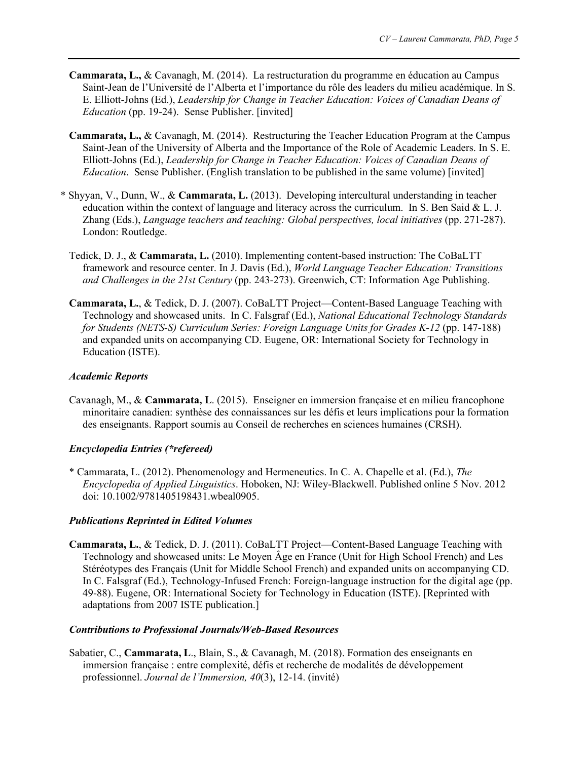- **Cammarata, L.,** & Cavanagh, M. (2014). La restructuration du programme en éducation au Campus Saint-Jean de l'Université de l'Alberta et l'importance du rôle des leaders du milieu académique. In S. E. Elliott-Johns (Ed.), *Leadership for Change in Teacher Education: Voices of Canadian Deans of Education* (pp. 19-24). Sense Publisher. [invited]
- **Cammarata, L.,** & Cavanagh, M. (2014). Restructuring the Teacher Education Program at the Campus Saint-Jean of the University of Alberta and the Importance of the Role of Academic Leaders. In S. E. Elliott-Johns (Ed.), *Leadership for Change in Teacher Education: Voices of Canadian Deans of Education*. Sense Publisher. (English translation to be published in the same volume) [invited]
- \* Shyyan, V., Dunn, W., & **Cammarata, L.** (2013). Developing intercultural understanding in teacher education within the context of language and literacy across the curriculum. In S. Ben Said & L. J. Zhang (Eds.), *Language teachers and teaching: Global perspectives, local initiatives* (pp. 271-287). London: Routledge.
	- Tedick, D. J., & **Cammarata, L.** (2010). Implementing content-based instruction: The CoBaLTT framework and resource center. In J. Davis (Ed.), *World Language Teacher Education: Transitions and Challenges in the 21st Century* (pp. 243-273). Greenwich, CT: Information Age Publishing.
	- **Cammarata, L.**, & Tedick, D. J. (2007). CoBaLTT Project—Content-Based Language Teaching with Technology and showcased units. In C. Falsgraf (Ed.), *National Educational Technology Standards for Students (NETS-S) Curriculum Series: Foreign Language Units for Grades K-12* (pp. 147-188) and expanded units on accompanying CD. Eugene, OR: International Society for Technology in Education (ISTE).

# *Academic Reports*

Cavanagh, M., & **Cammarata, L**. (2015). Enseigner en immersion française et en milieu francophone minoritaire canadien: synthèse des connaissances sur les défis et leurs implications pour la formation des enseignants. Rapport soumis au Conseil de recherches en sciences humaines (CRSH).

# *Encyclopedia Entries (\*refereed)*

\* Cammarata, L. (2012). Phenomenology and Hermeneutics. In C. A. Chapelle et al. (Ed.), *The Encyclopedia of Applied Linguistics*. Hoboken, NJ: Wiley-Blackwell. Published online 5 Nov. 2012 doi: 10.1002/9781405198431.wbeal0905.

#### *Publications Reprinted in Edited Volumes*

**Cammarata, L.**, & Tedick, D. J. (2011). CoBaLTT Project—Content-Based Language Teaching with Technology and showcased units: Le Moyen Âge en France (Unit for High School French) and Les Stéréotypes des Français (Unit for Middle School French) and expanded units on accompanying CD. In C. Falsgraf (Ed.), Technology-Infused French: Foreign-language instruction for the digital age (pp. 49-88). Eugene, OR: International Society for Technology in Education (ISTE). [Reprinted with adaptations from 2007 ISTE publication.]

#### *Contributions to Professional Journals/Web-Based Resources*

Sabatier, C., **Cammarata, L**., Blain, S., & Cavanagh, M. (2018). Formation des enseignants en immersion française : entre complexité, défis et recherche de modalités de développement professionnel. *Journal de l'Immersion, 40*(3), 12-14. (invité)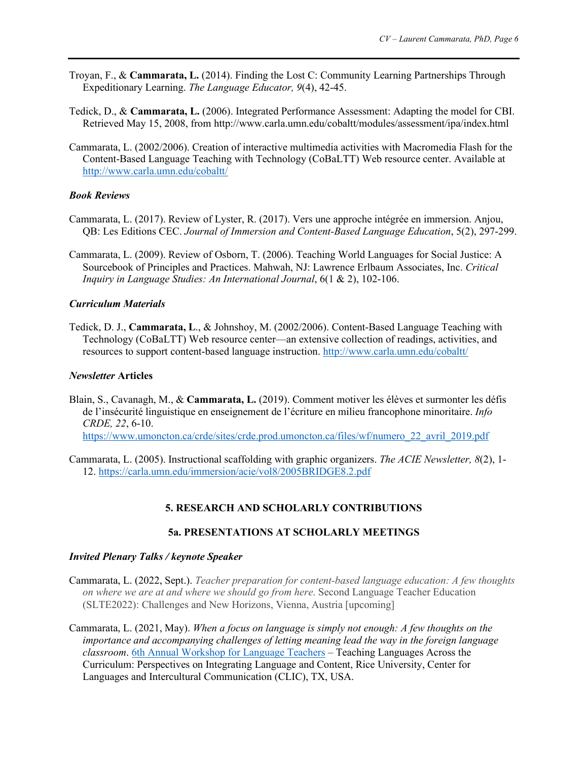- Troyan, F., & **Cammarata, L.** (2014). Finding the Lost C: Community Learning Partnerships Through Expeditionary Learning. *The Language Educator, 9*(4), 42-45.
- Tedick, D., & **Cammarata, L.** (2006). Integrated Performance Assessment: Adapting the model for CBI. Retrieved May 15, 2008, from http://www.carla.umn.edu/cobaltt/modules/assessment/ipa/index.html
- Cammarata, L. (2002/2006). Creation of interactive multimedia activities with Macromedia Flash for the Content-Based Language Teaching with Technology (CoBaLTT) Web resource center. Available at <http://www.carla.umn.edu/cobaltt/>

# *Book Reviews*

- Cammarata, L. (2017). Review of Lyster, R. (2017). Vers une approche intégrée en immersion. Anjou, QB: Les Editions CEC. *Journal of Immersion and Content-Based Language Education*, 5(2), 297-299.
- Cammarata, L. (2009). Review of Osborn, T. (2006). Teaching World Languages for Social Justice: A Sourcebook of Principles and Practices. Mahwah, NJ: Lawrence Erlbaum Associates, Inc. *Critical Inquiry in Language Studies: An International Journal*, 6(1 & 2), 102-106.

# *Curriculum Materials*

Tedick, D. J., **Cammarata, L**., & Johnshoy, M. (2002/2006). Content-Based Language Teaching with Technology (CoBaLTT) Web resource center—an extensive collection of readings, activities, and resources to support content-based language instruction.<http://www.carla.umn.edu/cobaltt/>

# *Newsletter* **Articles**

Blain, S., Cavanagh, M., & **Cammarata, L.** (2019). Comment motiver les élèves et surmonter les défis de l'insécurité linguistique en enseignement de l'écriture en milieu francophone minoritaire. *Info CRDE, 22*, 6-10. [https://www.umoncton.ca/crde/sites/crde.prod.umoncton.ca/files/wf/numero\\_22\\_avril\\_2019.pdf](https://www.umoncton.ca/crde/sites/crde.prod.umoncton.ca/files/wf/numero_22_avril_2019.pdf)

Cammarata, L. (2005). Instructional scaffolding with graphic organizers. *The ACIE Newsletter, 8*(2), 1- 12.<https://carla.umn.edu/immersion/acie/vol8/2005BRIDGE8.2.pdf>

# **5. RESEARCH AND SCHOLARLY CONTRIBUTIONS**

# **5a. PRESENTATIONS AT SCHOLARLY MEETINGS**

# *Invited Plenary Talks / keynote Speaker*

- Cammarata, L. (2022, Sept.). *Teacher preparation for content-based language education: A few thoughts on where we are at and where we should go from here*. Second Language Teacher Education (SLTE2022): Challenges and New Horizons, Vienna, Austria [upcoming]
- Cammarata, L. (2021, May). *When a focus on language is simply not enough: A few thoughts on the importance and accompanying challenges of letting meaning lead the way in the foreign language classroom*. [6th Annual Workshop for Language Teachers](https://clic6thworkshop.blogs.rice.edu/schedule) – Teaching Languages Across the Curriculum: Perspectives on Integrating Language and Content, Rice University, Center for Languages and Intercultural Communication (CLIC), TX, USA.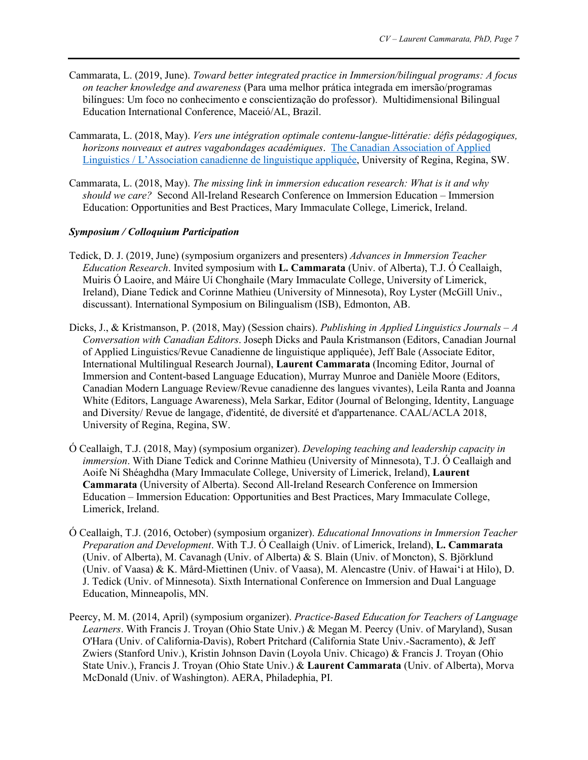- Cammarata, L. (2019, June). *Toward better integrated practice in Immersion/bilingual programs: A focus on teacher knowledge and awareness* (Para uma melhor prática integrada em imersão/programas bilíngues: Um foco no conhecimento e conscientização do professor). Multidimensional Bilingual Education International Conference, Maceió/AL, Brazil.
- Cammarata, L. (2018, May). *Vers une intégration optimale contenu-langue-littératie: défis pédagogiques, horizons nouveaux et autres vagabondages académiques*. [The Canadian Association of Applied](http://www.aclacaal.org/plenary%5d)  [Linguistics / L'Association canadienne de linguistique appliquée,](http://www.aclacaal.org/plenary%5d) University of Regina, Regina, SW.
- Cammarata, L. (2018, May). *The missing link in immersion education research: What is it and why should we care?* Second All-Ireland Research Conference on Immersion Education – Immersion Education: Opportunities and Best Practices, Mary Immaculate College, Limerick, Ireland.

# *Symposium / Colloquium Participation*

- Tedick, D. J. (2019, June) (symposium organizers and presenters) *Advances in Immersion Teacher Education Research*. Invited symposium with **L. Cammarata** (Univ. of Alberta), T.J. Ó Ceallaigh, Muiris Ó Laoire, and Máire Uí Chonghaile (Mary Immaculate College, University of Limerick, Ireland), Diane Tedick and Corinne Mathieu (University of Minnesota), Roy Lyster (McGill Univ., discussant). International Symposium on Bilingualism (ISB), Edmonton, AB.
- Dicks, J., & Kristmanson, P. (2018, May) (Session chairs). *Publishing in Applied Linguistics Journals – A Conversation with Canadian Editors*. Joseph Dicks and Paula Kristmanson (Editors, Canadian Journal of Applied Linguistics/Revue Canadienne de linguistique appliquée), Jeff Bale (Associate Editor, International Multilingual Research Journal), **Laurent Cammarata** (Incoming Editor, Journal of Immersion and Content-based Language Education), Murray Munroe and Danièle Moore (Editors, Canadian Modern Language Review/Revue canadienne des langues vivantes), Leila Ranta and Joanna White (Editors, Language Awareness), Mela Sarkar, Editor (Journal of Belonging, Identity, Language and Diversity/ Revue de langage, d'identité, de diversité et d'appartenance. CAAL/ACLA 2018, University of Regina, Regina, SW.
- Ó Ceallaigh, T.J. (2018, May) (symposium organizer). *Developing teaching and leadership capacity in immersion*. With Diane Tedick and Corinne Mathieu (University of Minnesota), T.J. Ó Ceallaigh and Aoife Ní Shéaghdha (Mary Immaculate College, University of Limerick, Ireland), **Laurent Cammarata** (University of Alberta). Second All-Ireland Research Conference on Immersion Education – Immersion Education: Opportunities and Best Practices, Mary Immaculate College, Limerick, Ireland.
- Ó Ceallaigh, T.J. (2016, October) (symposium organizer). *Educational Innovations in Immersion Teacher Preparation and Development*. With T.J. Ó Ceallaigh (Univ. of Limerick, Ireland), **L. Cammarata** (Univ. of Alberta), M. Cavanagh (Univ. of Alberta) & S. Blain (Univ. of Moncton), S. Björklund (Univ. of Vaasa) & K. Mård-Miettinen (Univ. of Vaasa), M. Alencastre (Univ. of Hawai'i at Hilo), D. J. Tedick (Univ. of Minnesota). Sixth International Conference on Immersion and Dual Language Education, Minneapolis, MN.
- Peercy, M. M. (2014, April) (symposium organizer). *Practice-Based Education for Teachers of Language Learners*. With Francis J. Troyan (Ohio State Univ.) & Megan M. Peercy (Univ. of Maryland), Susan O'Hara (Univ. of California-Davis), Robert Pritchard (California State Univ.-Sacramento), & Jeff Zwiers (Stanford Univ.), Kristin Johnson Davin (Loyola Univ. Chicago) & Francis J. Troyan (Ohio State Univ.), Francis J. Troyan (Ohio State Univ.) & **Laurent Cammarata** (Univ. of Alberta), Morva McDonald (Univ. of Washington). AERA, Philadephia, PI.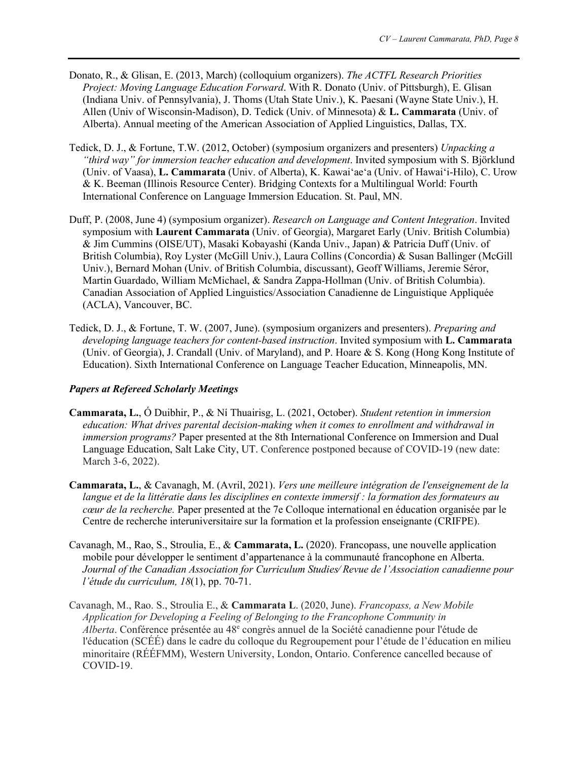- Donato, R., & Glisan, E. (2013, March) (colloquium organizers). *The ACTFL Research Priorities Project: Moving Language Education Forward*. With R. Donato (Univ. of Pittsburgh), E. Glisan (Indiana Univ. of Pennsylvania), J. Thoms (Utah State Univ.), K. Paesani (Wayne State Univ.), H. Allen (Univ of Wisconsin-Madison), D. Tedick (Univ. of Minnesota) & **L. Cammarata** (Univ. of Alberta). Annual meeting of the American Association of Applied Linguistics, Dallas, TX.
- Tedick, D. J., & Fortune, T.W. (2012, October) (symposium organizers and presenters) *Unpacking a "third way" for immersion teacher education and development*. Invited symposium with S. Björklund (Univ. of Vaasa), **L. Cammarata** (Univ. of Alberta), K. Kawai'ae'a (Univ. of Hawai'i-Hilo), C. Urow & K. Beeman (Illinois Resource Center). Bridging Contexts for a Multilingual World: Fourth International Conference on Language Immersion Education. St. Paul, MN.
- Duff, P. (2008, June 4) (symposium organizer). *Research on Language and Content Integration*. Invited symposium with **Laurent Cammarata** (Univ. of Georgia), Margaret Early (Univ. British Columbia) & Jim Cummins (OISE/UT), Masaki Kobayashi (Kanda Univ., Japan) & Patricia Duff (Univ. of British Columbia), Roy Lyster (McGill Univ.), Laura Collins (Concordia) & Susan Ballinger (McGill Univ.), Bernard Mohan (Univ. of British Columbia, discussant), Geoff Williams, Jeremie Séror, Martin Guardado, William McMichael, & Sandra Zappa-Hollman (Univ. of British Columbia). Canadian Association of Applied Linguistics/Association Canadienne de Linguistique Appliquée (ACLA), Vancouver, BC.
- Tedick, D. J., & Fortune, T. W. (2007, June). (symposium organizers and presenters). *Preparing and developing language teachers for content-based instruction*. Invited symposium with **L. Cammarata** (Univ. of Georgia), J. Crandall (Univ. of Maryland), and P. Hoare & S. Kong (Hong Kong Institute of Education). Sixth International Conference on Language Teacher Education, Minneapolis, MN.

# *Papers at Refereed Scholarly Meetings*

- **Cammarata, L.**, Ó Duibhir, P., & Ní Thuairisg, L. (2021, October). *Student retention in immersion education: What drives parental decision-making when it comes to enrollment and withdrawal in immersion programs?* Paper presented at the 8th International Conference on Immersion and Dual Language Education, Salt Lake City, UT. Conference postponed because of COVID-19 (new date: March 3-6, 2022).
- **Cammarata, L.**, & Cavanagh, M. (Avril, 2021). *Vers une meilleure intégration de l'enseignement de la langue et de la littératie dans les disciplines en contexte immersif : la formation des formateurs au cœur de la recherche.* Paper presented at the 7e Colloque international en éducation organisée par le Centre de recherche interuniversitaire sur la formation et la profession enseignante (CRIFPE).
- Cavanagh, M., Rao, S., Stroulia, E., & **Cammarata, L.** (2020). Francopass, une nouvelle application mobile pour développer le sentiment d'appartenance à la communauté francophone en Alberta. *Journal of the Canadian Association for Curriculum Studies∕ Revue de l'Association canadienne pour l'étude du curriculum, 18*(1), pp. 70-71.
- Cavanagh, M., Rao. S., Stroulia E., & **Cammarata L**. (2020, June). *Francopass, a New Mobile Application for Developing a Feeling of Belonging to the Francophone Community in*  Alberta. Conférence présentée au 48<sup>e</sup> congrès annuel de la Société canadienne pour l'étude de l'éducation (SCÉÉ) dans le cadre du colloque du Regroupement pour l'étude de l'éducation en milieu minoritaire (RÉÉFMM), Western University, London, Ontario. Conference cancelled because of COVID-19.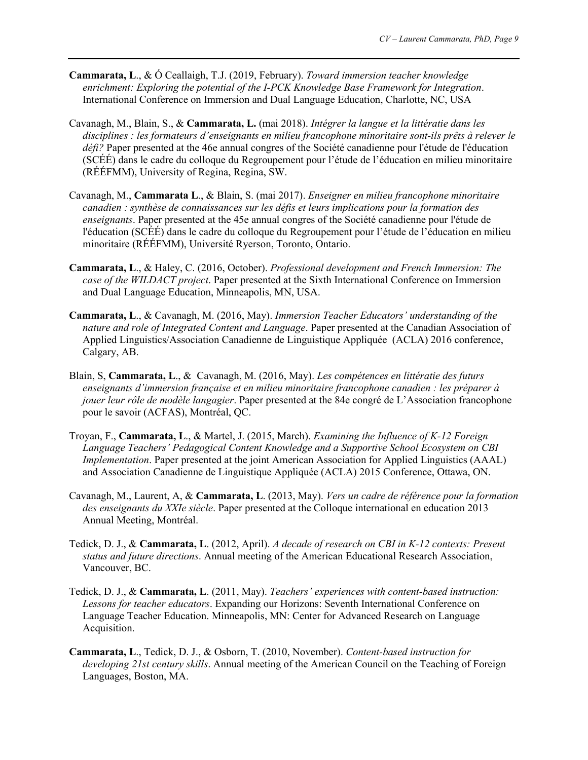- **Cammarata, L**., & Ó Ceallaigh, T.J. (2019, February). *Toward immersion teacher knowledge enrichment: Exploring the potential of the I-PCK Knowledge Base Framework for Integration*. International Conference on Immersion and Dual Language Education, Charlotte, NC, USA
- Cavanagh, M., Blain, S., & **Cammarata, L.** (mai 2018). *Intégrer la langue et la littératie dans les disciplines : les formateurs d'enseignants en milieu francophone minoritaire sont-ils prêts à relever le défi?* Paper presented at the 46e annual congres of the Société canadienne pour l'étude de l'éducation (SCÉÉ) dans le cadre du colloque du Regroupement pour l'étude de l'éducation en milieu minoritaire (RÉÉFMM), University of Regina, Regina, SW.
- Cavanagh, M., **Cammarata L**., & Blain, S. (mai 2017). *Enseigner en milieu francophone minoritaire canadien : synthèse de connaissances sur les défis et leurs implications pour la formation des enseignants*. Paper presented at the 45e annual congres of the Société canadienne pour l'étude de l'éducation (SCÉÉ) dans le cadre du colloque du Regroupement pour l'étude de l'éducation en milieu minoritaire (RÉÉFMM), Université Ryerson, Toronto, Ontario.
- **Cammarata, L**., & Haley, C. (2016, October). *Professional development and French Immersion: The case of the WILDACT project*. Paper presented at the Sixth International Conference on Immersion and Dual Language Education, Minneapolis, MN, USA.
- **Cammarata, L**., & Cavanagh, M. (2016, May). *Immersion Teacher Educators' understanding of the nature and role of Integrated Content and Language*. Paper presented at the Canadian Association of Applied Linguistics/Association Canadienne de Linguistique Appliquée (ACLA) 2016 conference, Calgary, AB.
- Blain, S, **Cammarata, L**., & Cavanagh, M. (2016, May). *Les compétences en littératie des futurs enseignants d'immersion française et en milieu minoritaire francophone canadien : les préparer à jouer leur rôle de modèle langagier*. Paper presented at the 84e congré de L'Association francophone pour le savoir (ACFAS), Montréal, QC.
- Troyan, F., **Cammarata, L**., & Martel, J. (2015, March). *Examining the Influence of K-12 Foreign Language Teachers' Pedagogical Content Knowledge and a Supportive School Ecosystem on CBI Implementation*. Paper presented at the joint American Association for Applied Linguistics (AAAL) and Association Canadienne de Linguistique Appliquée (ACLA) 2015 Conference, Ottawa, ON.
- Cavanagh, M., Laurent, A, & **Cammarata, L**. (2013, May). *Vers un cadre de référence pour la formation des enseignants du XXIe siècle*. Paper presented at the Colloque international en education 2013 Annual Meeting, Montréal.
- Tedick, D. J., & **Cammarata, L**. (2012, April). *A decade of research on CBI in K-12 contexts: Present status and future directions*. Annual meeting of the American Educational Research Association, Vancouver, BC.
- Tedick, D. J., & **Cammarata, L**. (2011, May). *Teachers' experiences with content-based instruction: Lessons for teacher educators*. Expanding our Horizons: Seventh International Conference on Language Teacher Education. Minneapolis, MN: Center for Advanced Research on Language Acquisition.
- **Cammarata, L**., Tedick, D. J., & Osborn, T. (2010, November). *Content-based instruction for developing 21st century skills*. Annual meeting of the American Council on the Teaching of Foreign Languages, Boston, MA.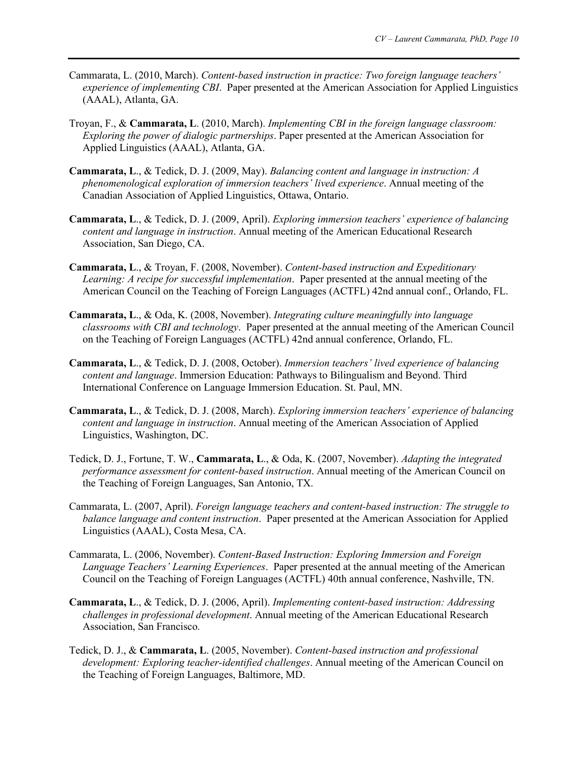- Cammarata, L. (2010, March). *Content-based instruction in practice: Two foreign language teachers' experience of implementing CBI*. Paper presented at the American Association for Applied Linguistics (AAAL), Atlanta, GA.
- Troyan, F., & **Cammarata, L**. (2010, March). *Implementing CBI in the foreign language classroom: Exploring the power of dialogic partnerships*. Paper presented at the American Association for Applied Linguistics (AAAL), Atlanta, GA.
- **Cammarata, L**., & Tedick, D. J. (2009, May). *Balancing content and language in instruction: A phenomenological exploration of immersion teachers' lived experience*. Annual meeting of the Canadian Association of Applied Linguistics, Ottawa, Ontario.
- **Cammarata, L**., & Tedick, D. J. (2009, April). *Exploring immersion teachers' experience of balancing content and language in instruction*. Annual meeting of the American Educational Research Association, San Diego, CA.
- **Cammarata, L**., & Troyan, F. (2008, November). *Content-based instruction and Expeditionary Learning: A recipe for successful implementation*. Paper presented at the annual meeting of the American Council on the Teaching of Foreign Languages (ACTFL) 42nd annual conf., Orlando, FL.
- **Cammarata, L**., & Oda, K. (2008, November). *Integrating culture meaningfully into language classrooms with CBI and technology*. Paper presented at the annual meeting of the American Council on the Teaching of Foreign Languages (ACTFL) 42nd annual conference, Orlando, FL.
- **Cammarata, L**., & Tedick, D. J. (2008, October). *Immersion teachers' lived experience of balancing content and language*. Immersion Education: Pathways to Bilingualism and Beyond. Third International Conference on Language Immersion Education. St. Paul, MN.
- **Cammarata, L**., & Tedick, D. J. (2008, March). *Exploring immersion teachers' experience of balancing content and language in instruction*. Annual meeting of the American Association of Applied Linguistics, Washington, DC.
- Tedick, D. J., Fortune, T. W., **Cammarata, L**., & Oda, K. (2007, November). *Adapting the integrated performance assessment for content-based instruction*. Annual meeting of the American Council on the Teaching of Foreign Languages, San Antonio, TX.
- Cammarata, L. (2007, April). *Foreign language teachers and content-based instruction: The struggle to balance language and content instruction*. Paper presented at the American Association for Applied Linguistics (AAAL), Costa Mesa, CA.
- Cammarata, L. (2006, November). *Content-Based Instruction: Exploring Immersion and Foreign Language Teachers' Learning Experiences*. Paper presented at the annual meeting of the American Council on the Teaching of Foreign Languages (ACTFL) 40th annual conference, Nashville, TN.
- **Cammarata, L**., & Tedick, D. J. (2006, April). *Implementing content-based instruction: Addressing challenges in professional development*. Annual meeting of the American Educational Research Association, San Francisco.
- Tedick, D. J., & **Cammarata, L**. (2005, November). *Content-based instruction and professional development: Exploring teacher-identified challenges*. Annual meeting of the American Council on the Teaching of Foreign Languages, Baltimore, MD.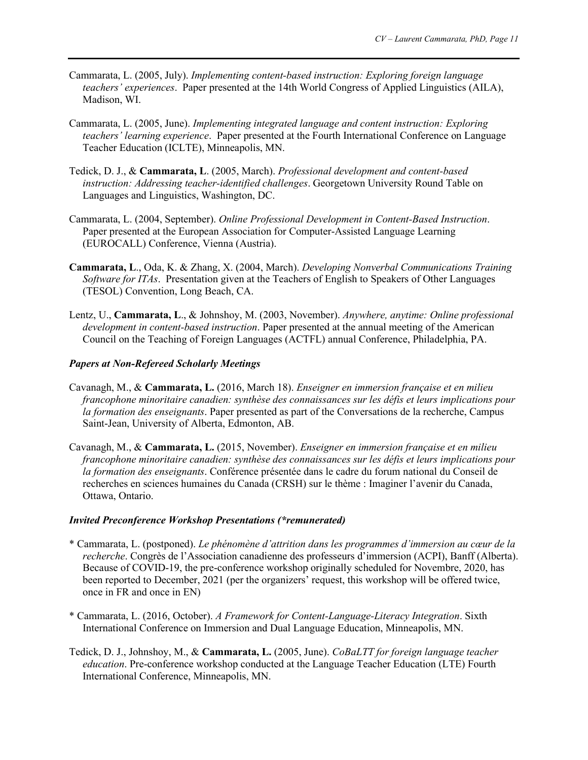- Cammarata, L. (2005, July). *Implementing content-based instruction: Exploring foreign language teachers' experiences*. Paper presented at the 14th World Congress of Applied Linguistics (AILA), Madison, WI.
- Cammarata, L. (2005, June). *Implementing integrated language and content instruction: Exploring teachers' learning experience*. Paper presented at the Fourth International Conference on Language Teacher Education (ICLTE), Minneapolis, MN.
- Tedick, D. J., & **Cammarata, L**. (2005, March). *Professional development and content-based instruction: Addressing teacher-identified challenges*. Georgetown University Round Table on Languages and Linguistics, Washington, DC.
- Cammarata, L. (2004, September). *Online Professional Development in Content-Based Instruction*. Paper presented at the European Association for Computer-Assisted Language Learning (EUROCALL) Conference, Vienna (Austria).
- **Cammarata, L**., Oda, K. & Zhang, X. (2004, March). *Developing Nonverbal Communications Training Software for ITAs*. Presentation given at the Teachers of English to Speakers of Other Languages (TESOL) Convention, Long Beach, CA.
- Lentz, U., **Cammarata, L**., & Johnshoy, M. (2003, November). *Anywhere, anytime: Online professional development in content-based instruction*. Paper presented at the annual meeting of the American Council on the Teaching of Foreign Languages (ACTFL) annual Conference, Philadelphia, PA.

# *Papers at Non-Refereed Scholarly Meetings*

- Cavanagh, M., & **Cammarata, L.** (2016, March 18). *Enseigner en immersion française et en milieu francophone minoritaire canadien: synthèse des connaissances sur les défis et leurs implications pour la formation des enseignants*. Paper presented as part of the Conversations de la recherche, Campus Saint-Jean, University of Alberta, Edmonton, AB.
- Cavanagh, M., & **Cammarata, L.** (2015, November). *Enseigner en immersion française et en milieu francophone minoritaire canadien: synthèse des connaissances sur les défis et leurs implications pour la formation des enseignants*. Conférence présentée dans le cadre du forum national du Conseil de recherches en sciences humaines du Canada (CRSH) sur le thème : Imaginer l'avenir du Canada, Ottawa, Ontario.

# *Invited Preconference Workshop Presentations (\*remunerated)*

- \* Cammarata, L. (postponed). *Le phénomène d'attrition dans les programmes d'immersion au cœur de la recherche*. Congrès de l'Association canadienne des professeurs d'immersion (ACPI), Banff (Alberta). Because of COVID-19, the pre-conference workshop originally scheduled for Novembre, 2020, has been reported to December, 2021 (per the organizers' request, this workshop will be offered twice, once in FR and once in EN)
- \* Cammarata, L. (2016, October). *A Framework for Content-Language-Literacy Integration*. Sixth International Conference on Immersion and Dual Language Education, Minneapolis, MN.
- Tedick, D. J., Johnshoy, M., & **Cammarata, L.** (2005, June). *CoBaLTT for foreign language teacher education*. Pre-conference workshop conducted at the Language Teacher Education (LTE) Fourth International Conference, Minneapolis, MN.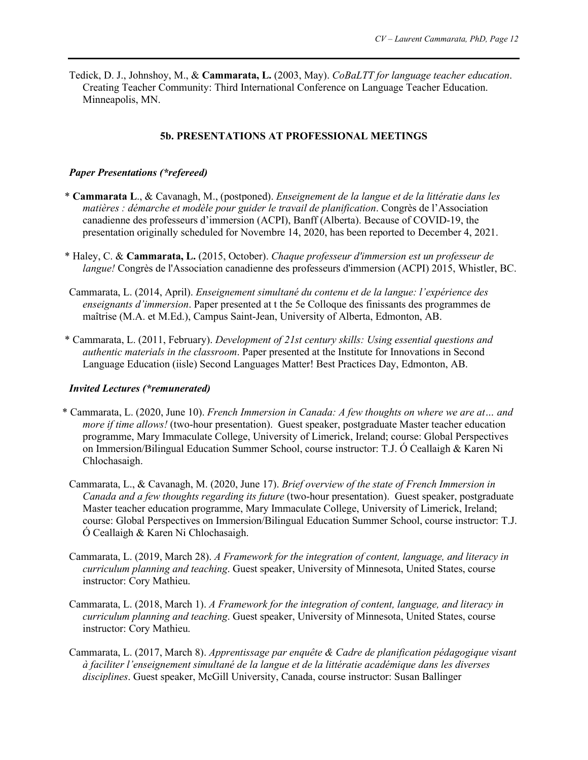Tedick, D. J., Johnshoy, M., & **Cammarata, L.** (2003, May). *CoBaLTT for language teacher education*. Creating Teacher Community: Third International Conference on Language Teacher Education. Minneapolis, MN.

#### **5b. PRESENTATIONS AT PROFESSIONAL MEETINGS**

#### *Paper Presentations (\*refereed)*

- \* **Cammarata L**., & Cavanagh, M., (postponed). *Enseignement de la langue et de la littératie dans les matières : démarche et modèle pour guider le travail de planification*. Congrès de l'Association canadienne des professeurs d'immersion (ACPI), Banff (Alberta). Because of COVID-19, the presentation originally scheduled for Novembre 14, 2020, has been reported to December 4, 2021.
- \* Haley, C. & **Cammarata, L.** (2015, October). *Chaque professeur d'immersion est un professeur de langue!* Congrès de l'Association canadienne des professeurs d'immersion (ACPI) 2015, Whistler, BC.
- Cammarata, L. (2014, April). *Enseignement simultané du contenu et de la langue: l'expérience des enseignants d'immersion*. Paper presented at t the 5e Colloque des finissants des programmes de maîtrise (M.A. et M.Ed.), Campus Saint-Jean, University of Alberta, Edmonton, AB.
- \* Cammarata, L. (2011, February). *Development of 21st century skills: Using essential questions and authentic materials in the classroom*. Paper presented at the Institute for Innovations in Second Language Education (iisle) Second Languages Matter! Best Practices Day, Edmonton, AB.

#### *Invited Lectures (\*remunerated)*

- \* Cammarata, L. (2020, June 10). *French Immersion in Canada: A few thoughts on where we are at… and more if time allows!* (two-hour presentation). Guest speaker, postgraduate Master teacher education programme, Mary Immaculate College, University of Limerick, Ireland; course: Global Perspectives on Immersion/Bilingual Education Summer School, course instructor: T.J. Ó Ceallaigh & Karen Ni Chlochasaigh.
- Cammarata, L., & Cavanagh, M. (2020, June 17). *Brief overview of the state of French Immersion in Canada and a few thoughts regarding its future* (two-hour presentation). Guest speaker, postgraduate Master teacher education programme, Mary Immaculate College, University of Limerick, Ireland; course: Global Perspectives on Immersion/Bilingual Education Summer School, course instructor: T.J. Ó Ceallaigh & Karen Ni Chlochasaigh.
- Cammarata, L. (2019, March 28). *A Framework for the integration of content, language, and literacy in curriculum planning and teaching*. Guest speaker, University of Minnesota, United States, course instructor: Cory Mathieu.
- Cammarata, L. (2018, March 1). *A Framework for the integration of content, language, and literacy in curriculum planning and teaching*. Guest speaker, University of Minnesota, United States, course instructor: Cory Mathieu.
- Cammarata, L. (2017, March 8). *Apprentissage par enquête & Cadre de planification pédagogique visant à faciliter l'enseignement simultané de la langue et de la littératie académique dans les diverses disciplines*. Guest speaker, McGill University, Canada, course instructor: Susan Ballinger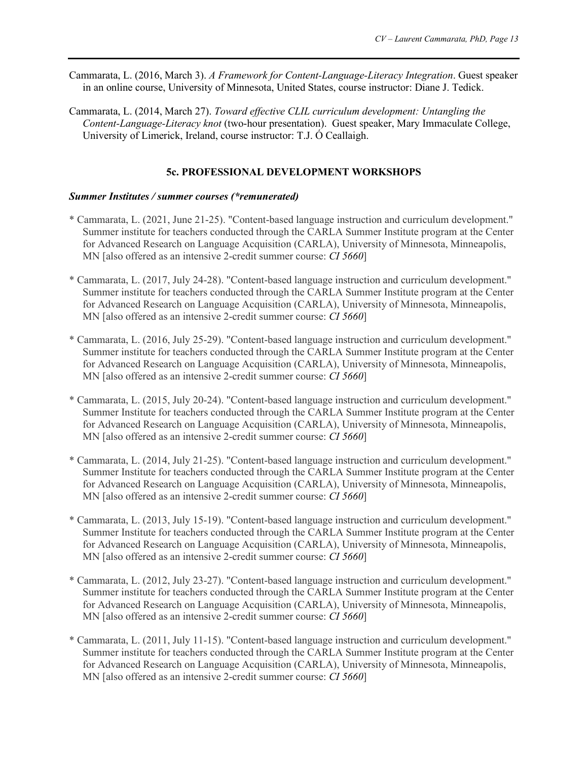- Cammarata, L. (2016, March 3). *A Framework for Content-Language-Literacy Integration*. Guest speaker in an online course, University of Minnesota, United States, course instructor: Diane J. Tedick.
- Cammarata, L. (2014, March 27). *Toward effective CLIL curriculum development: Untangling the Content-Language-Literacy knot* (two-hour presentation). Guest speaker, Mary Immaculate College, University of Limerick, Ireland, course instructor: T.J. Ó Ceallaigh.

# **5c. PROFESSIONAL DEVELOPMENT WORKSHOPS**

#### *Summer Institutes / summer courses (\*remunerated)*

- \* Cammarata, L. (2021, June 21-25). "Content-based language instruction and curriculum development." Summer institute for teachers conducted through the CARLA Summer Institute program at the Center for Advanced Research on Language Acquisition (CARLA), University of Minnesota, Minneapolis, MN [also offered as an intensive 2-credit summer course: *CI 5660*]
- \* Cammarata, L. (2017, July 24-28). "Content-based language instruction and curriculum development." Summer institute for teachers conducted through the CARLA Summer Institute program at the Center for Advanced Research on Language Acquisition (CARLA), University of Minnesota, Minneapolis, MN [also offered as an intensive 2-credit summer course: *CI 5660*]
- \* Cammarata, L. (2016, July 25-29). "Content-based language instruction and curriculum development." Summer institute for teachers conducted through the CARLA Summer Institute program at the Center for Advanced Research on Language Acquisition (CARLA), University of Minnesota, Minneapolis, MN [also offered as an intensive 2-credit summer course: *CI 5660*]
- \* Cammarata, L. (2015, July 20-24). "Content-based language instruction and curriculum development." Summer Institute for teachers conducted through the CARLA Summer Institute program at the Center for Advanced Research on Language Acquisition (CARLA), University of Minnesota, Minneapolis, MN [also offered as an intensive 2-credit summer course: *CI 5660*]
- \* Cammarata, L. (2014, July 21-25). "Content-based language instruction and curriculum development." Summer Institute for teachers conducted through the CARLA Summer Institute program at the Center for Advanced Research on Language Acquisition (CARLA), University of Minnesota, Minneapolis, MN [also offered as an intensive 2-credit summer course: *CI 5660*]
- \* Cammarata, L. (2013, July 15-19). "Content-based language instruction and curriculum development." Summer Institute for teachers conducted through the CARLA Summer Institute program at the Center for Advanced Research on Language Acquisition (CARLA), University of Minnesota, Minneapolis, MN [also offered as an intensive 2-credit summer course: *CI 5660*]
- \* Cammarata, L. (2012, July 23-27). "Content-based language instruction and curriculum development." Summer institute for teachers conducted through the CARLA Summer Institute program at the Center for Advanced Research on Language Acquisition (CARLA), University of Minnesota, Minneapolis, MN [also offered as an intensive 2-credit summer course: *CI 5660*]
- \* Cammarata, L. (2011, July 11-15). "Content-based language instruction and curriculum development." Summer institute for teachers conducted through the CARLA Summer Institute program at the Center for Advanced Research on Language Acquisition (CARLA), University of Minnesota, Minneapolis, MN [also offered as an intensive 2-credit summer course: *CI 5660*]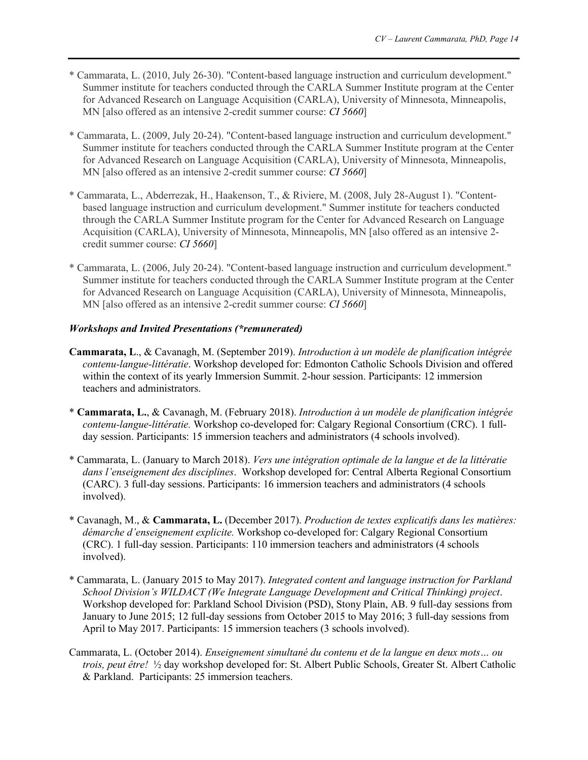- \* Cammarata, L. (2010, July 26-30). "Content-based language instruction and curriculum development." Summer institute for teachers conducted through the CARLA Summer Institute program at the Center for Advanced Research on Language Acquisition (CARLA), University of Minnesota, Minneapolis, MN [also offered as an intensive 2-credit summer course: *CI 5660*]
- \* Cammarata, L. (2009, July 20-24). "Content-based language instruction and curriculum development." Summer institute for teachers conducted through the CARLA Summer Institute program at the Center for Advanced Research on Language Acquisition (CARLA), University of Minnesota, Minneapolis, MN [also offered as an intensive 2-credit summer course: *CI 5660*]
- \* Cammarata, L., Abderrezak, H., Haakenson, T., & Riviere, M. (2008, July 28-August 1). "Contentbased language instruction and curriculum development." Summer institute for teachers conducted through the CARLA Summer Institute program for the Center for Advanced Research on Language Acquisition (CARLA), University of Minnesota, Minneapolis, MN [also offered as an intensive 2 credit summer course: *CI 5660*]
- \* Cammarata, L. (2006, July 20-24). "Content-based language instruction and curriculum development." Summer institute for teachers conducted through the CARLA Summer Institute program at the Center for Advanced Research on Language Acquisition (CARLA), University of Minnesota, Minneapolis, MN [also offered as an intensive 2-credit summer course: *CI 5660*]

#### *Workshops and Invited Presentations (\*remunerated)*

- **Cammarata, L**., & Cavanagh, M. (September 2019). *Introduction à un modèle de planification intégrée contenu-langue-littératie*. Workshop developed for: Edmonton Catholic Schools Division and offered within the context of its yearly Immersion Summit. 2-hour session. Participants: 12 immersion teachers and administrators.
- \* **Cammarata, L.**, & Cavanagh, M. (February 2018). *Introduction à un modèle de planification intégrée contenu-langue-littératie.* Workshop co-developed for: Calgary Regional Consortium (CRC). 1 fullday session. Participants: 15 immersion teachers and administrators (4 schools involved).
- \* Cammarata, L. (January to March 2018). *Vers une intégration optimale de la langue et de la littératie dans l'enseignement des disciplines*. Workshop developed for: Central Alberta Regional Consortium (CARC). 3 full-day sessions. Participants: 16 immersion teachers and administrators (4 schools involved).
- \* Cavanagh, M., & **Cammarata, L.** (December 2017). *Production de textes explicatifs dans les matières: démarche d'enseignement explicite.* Workshop co-developed for: Calgary Regional Consortium (CRC). 1 full-day session. Participants: 110 immersion teachers and administrators (4 schools involved).
- \* Cammarata, L. (January 2015 to May 2017). *Integrated content and language instruction for Parkland School Division's WILDACT (We Integrate Language Development and Critical Thinking) project*. Workshop developed for: Parkland School Division (PSD), Stony Plain, AB. 9 full-day sessions from January to June 2015; 12 full-day sessions from October 2015 to May 2016; 3 full-day sessions from April to May 2017. Participants: 15 immersion teachers (3 schools involved).
- Cammarata, L. (October 2014). *Enseignement simultané du contenu et de la langue en deux mots… ou trois, peut être!* ½ day workshop developed for: St. Albert Public Schools, Greater St. Albert Catholic & Parkland. Participants: 25 immersion teachers.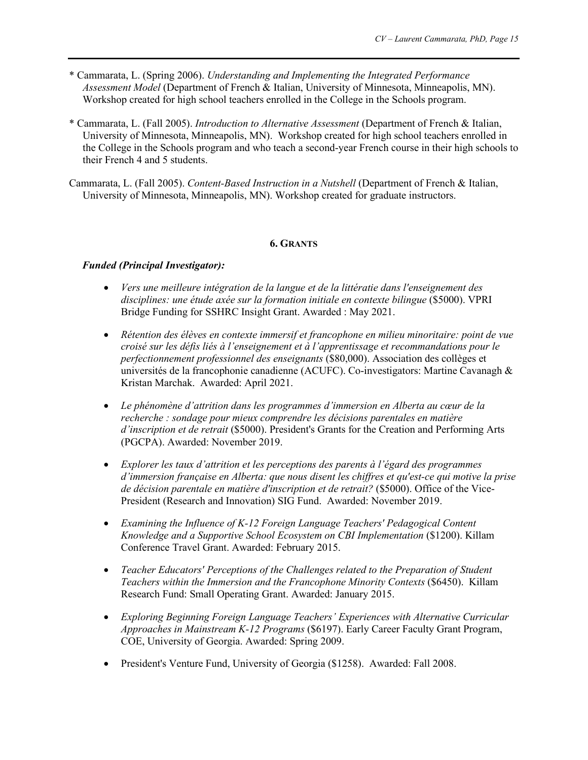- \* Cammarata, L. (Spring 2006). *Understanding and Implementing the Integrated Performance Assessment Model* (Department of French & Italian, University of Minnesota, Minneapolis, MN). Workshop created for high school teachers enrolled in the College in the Schools program.
- \* Cammarata, L. (Fall 2005). *Introduction to Alternative Assessment* (Department of French & Italian, University of Minnesota, Minneapolis, MN). Workshop created for high school teachers enrolled in the College in the Schools program and who teach a second-year French course in their high schools to their French 4 and 5 students.
- Cammarata, L. (Fall 2005). *Content-Based Instruction in a Nutshell* (Department of French & Italian, University of Minnesota, Minneapolis, MN). Workshop created for graduate instructors.

#### **6. GRANTS**

## *Funded (Principal Investigator):*

- *Vers une meilleure intégration de la langue et de la littératie dans l'enseignement des disciplines: une étude axée sur la formation initiale en contexte bilingue* (\$5000). VPRI Bridge Funding for SSHRC Insight Grant. Awarded : May 2021.
- *Rétention des élèves en contexte immersif et francophone en milieu minoritaire: point de vue croisé sur les défis liés à l'enseignement et à l'apprentissage et recommandations pour le perfectionnement professionnel des enseignants* (\$80,000). Association des collèges et universités de la francophonie canadienne (ACUFC). Co-investigators: Martine Cavanagh & Kristan Marchak. Awarded: April 2021.
- *Le phénomène d'attrition dans les programmes d'immersion en Alberta au cœur de la recherche : sondage pour mieux comprendre les décisions parentales en matière d'inscription et de retrait* (\$5000). President's Grants for the Creation and Performing Arts (PGCPA). Awarded: November 2019.
- *Explorer les taux d'attrition et les perceptions des parents à l'égard des programmes d'immersion française en Alberta: que nous disent les chiffres et qu'est-ce qui motive la prise de décision parentale en matière d'inscription et de retrait?* (\$5000). Office of the Vice-President (Research and Innovation) SIG Fund. Awarded: November 2019.
- *Examining the Influence of K-12 Foreign Language Teachers' Pedagogical Content Knowledge and a Supportive School Ecosystem on CBI Implementation* (\$1200). Killam Conference Travel Grant. Awarded: February 2015.
- *Teacher Educators' Perceptions of the Challenges related to the Preparation of Student Teachers within the Immersion and the Francophone Minority Contexts* (\$6450). Killam Research Fund: Small Operating Grant. Awarded: January 2015.
- *Exploring Beginning Foreign Language Teachers' Experiences with Alternative Curricular Approaches in Mainstream K-12 Programs* (\$6197). Early Career Faculty Grant Program, COE, University of Georgia. Awarded: Spring 2009.
- President's Venture Fund, University of Georgia (\$1258). Awarded: Fall 2008.